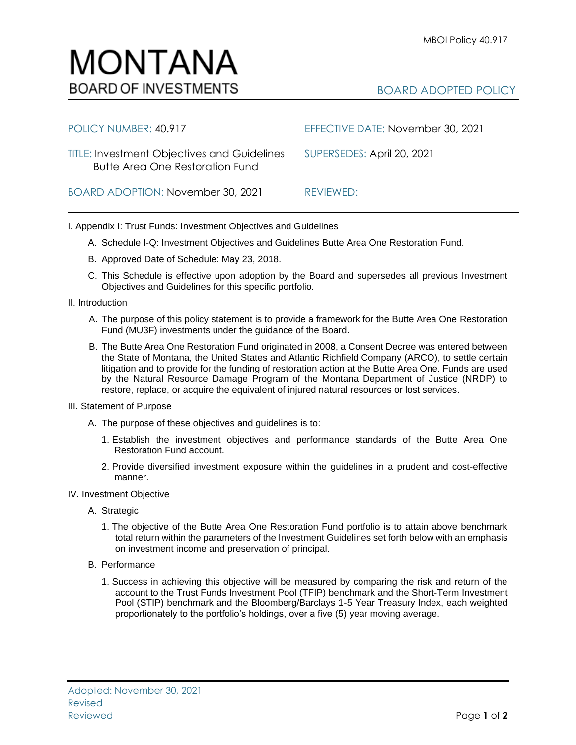

| POLICY NUMBER: 40.917                                                                        | EFFECTIVE DATE: November 30, 2021 |
|----------------------------------------------------------------------------------------------|-----------------------------------|
| <b>TITLE: Investment Objectives and Guidelines</b><br><b>Butte Area One Restoration Fund</b> | SUPERSEDES: April 20, 2021        |
| BOARD ADOPTION: November 30, 2021                                                            | REVIEWED:                         |

I. Appendix I: Trust Funds: Investment Objectives and Guidelines

- A. Schedule I-Q: Investment Objectives and Guidelines Butte Area One Restoration Fund.
- B. Approved Date of Schedule: May 23, 2018.
- C. This Schedule is effective upon adoption by the Board and supersedes all previous Investment Objectives and Guidelines for this specific portfolio*.*
- II. Introduction
	- A. The purpose of this policy statement is to provide a framework for the Butte Area One Restoration Fund (MU3F) investments under the guidance of the Board.
	- B. The Butte Area One Restoration Fund originated in 2008, a Consent Decree was entered between the State of Montana, the United States and Atlantic Richfield Company (ARCO), to settle certain litigation and to provide for the funding of restoration action at the Butte Area One. Funds are used by the Natural Resource Damage Program of the Montana Department of Justice (NRDP) to restore, replace, or acquire the equivalent of injured natural resources or lost services.
- III. Statement of Purpose
	- A. The purpose of these objectives and guidelines is to:
		- 1. Establish the investment objectives and performance standards of the Butte Area One Restoration Fund account.
		- 2. Provide diversified investment exposure within the guidelines in a prudent and cost-effective manner.
- IV. Investment Objective
	- A. Strategic
		- 1. The objective of the Butte Area One Restoration Fund portfolio is to attain above benchmark total return within the parameters of the Investment Guidelines set forth below with an emphasis on investment income and preservation of principal.
	- B. Performance
		- 1. Success in achieving this objective will be measured by comparing the risk and return of the account to the Trust Funds Investment Pool (TFIP) benchmark and the Short-Term Investment Pool (STIP) benchmark and the Bloomberg/Barclays 1-5 Year Treasury Index, each weighted proportionately to the portfolio's holdings, over a five (5) year moving average.